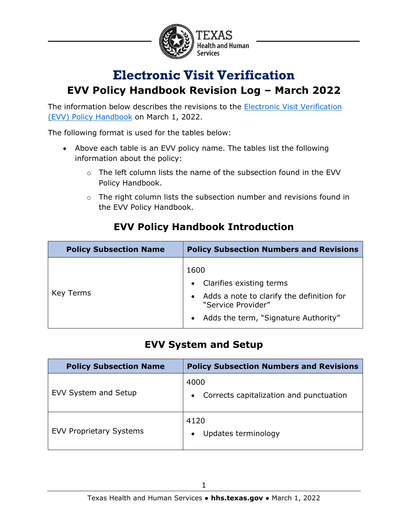

## **Electronic Visit Verification EVV Policy Handbook Revision Log – March 2022**

The information below describes the revisions to the **Electronic Visit Verification** [\(EVV\) Policy Handbook](https://www.hhs.texas.gov/handbooks/electronic-visit-verification-policy-handbook) on March 1, 2022.

The following format is used for the tables below:

- Above each table is an EVV policy name. The tables list the following information about the policy:
	- $\circ$  The left column lists the name of the subsection found in the EVV Policy Handbook.
	- o The right column lists the subsection number and revisions found in the EVV Policy Handbook.

| <b>Policy Subsection Name</b> | <b>Policy Subsection Numbers and Revisions</b>                                                                                                               |
|-------------------------------|--------------------------------------------------------------------------------------------------------------------------------------------------------------|
| Key Terms                     | 1600<br>• Clarifies existing terms<br>Adds a note to clarify the definition for<br>$\bullet$<br>"Service Provider"<br>• Adds the term, "Signature Authority" |

#### **EVV Policy Handbook Introduction**

#### **EVV System and Setup**

| <b>Policy Subsection Name</b>  | <b>Policy Subsection Numbers and Revisions</b>               |
|--------------------------------|--------------------------------------------------------------|
| EVV System and Setup           | 4000<br>Corrects capitalization and punctuation<br>$\bullet$ |
| <b>EVV Proprietary Systems</b> | 4120<br>Updates terminology<br>$\bullet$                     |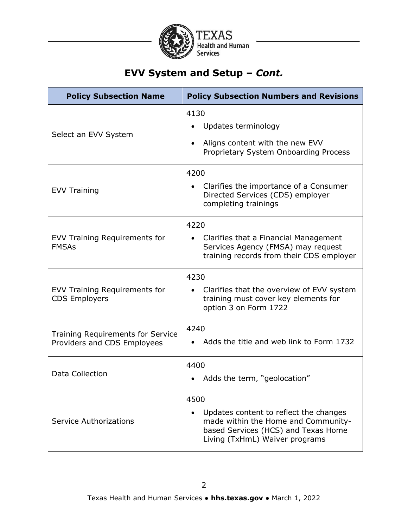

### **EVV System and Setup –** *Cont.*

| <b>Policy Subsection Name</b>                                           | <b>Policy Subsection Numbers and Revisions</b>                                                                                                                 |
|-------------------------------------------------------------------------|----------------------------------------------------------------------------------------------------------------------------------------------------------------|
| Select an EVV System                                                    | 4130<br>Updates terminology<br>Aligns content with the new EVV<br>Proprietary System Onboarding Process                                                        |
| <b>EVV Training</b>                                                     | 4200<br>Clarifies the importance of a Consumer<br>Directed Services (CDS) employer<br>completing trainings                                                     |
| EVV Training Requirements for<br><b>FMSAs</b>                           | 4220<br>Clarifies that a Financial Management<br>Services Agency (FMSA) may request<br>training records from their CDS employer                                |
| <b>EVV Training Requirements for</b><br><b>CDS Employers</b>            | 4230<br>Clarifies that the overview of EVV system<br>training must cover key elements for<br>option 3 on Form 1722                                             |
| <b>Training Requirements for Service</b><br>Providers and CDS Employees | 4240<br>Adds the title and web link to Form 1732                                                                                                               |
| Data Collection                                                         | 4400<br>Adds the term, "geolocation"                                                                                                                           |
| <b>Service Authorizations</b>                                           | 4500<br>Updates content to reflect the changes<br>made within the Home and Community-<br>based Services (HCS) and Texas Home<br>Living (TxHmL) Waiver programs |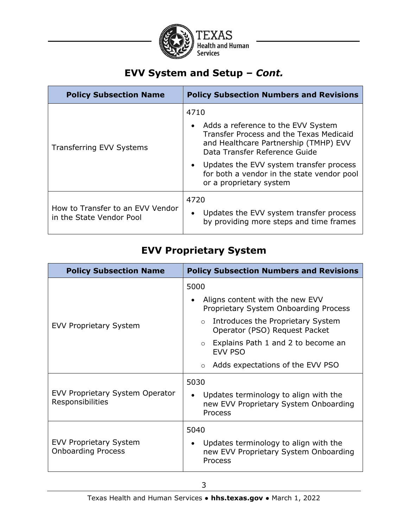

### **EVV System and Setup –** *Cont.*

| <b>Policy Subsection Numbers and Revisions</b>                                                                                                                       |
|----------------------------------------------------------------------------------------------------------------------------------------------------------------------|
| 4710                                                                                                                                                                 |
| Adds a reference to the EVV System<br>$\bullet$<br>Transfer Process and the Texas Medicaid<br>and Healthcare Partnership (TMHP) EVV<br>Data Transfer Reference Guide |
| Updates the EVV system transfer process<br>$\bullet$<br>for both a vendor in the state vendor pool<br>or a proprietary system                                        |
| 4720<br>Updates the EVV system transfer process<br>$\bullet$<br>by providing more steps and time frames                                                              |
|                                                                                                                                                                      |

#### **EVV Proprietary System**

| <b>Policy Subsection Name</b>                              | <b>Policy Subsection Numbers and Revisions</b>                                                                                                                                                                                                                          |
|------------------------------------------------------------|-------------------------------------------------------------------------------------------------------------------------------------------------------------------------------------------------------------------------------------------------------------------------|
| <b>EVV Proprietary System</b>                              | 5000<br>Aligns content with the new EVV<br>Proprietary System Onboarding Process<br>o Introduces the Proprietary System<br>Operator (PSO) Request Packet<br>$\circ$ Explains Path 1 and 2 to become an<br><b>EVV PSO</b><br>Adds expectations of the EVV PSO<br>$\circ$ |
| EVV Proprietary System Operator<br>Responsibilities        | 5030<br>Updates terminology to align with the<br>new EVV Proprietary System Onboarding<br>Process                                                                                                                                                                       |
| <b>EVV Proprietary System</b><br><b>Onboarding Process</b> | 5040<br>Updates terminology to align with the<br>٠<br>new EVV Proprietary System Onboarding<br>Process                                                                                                                                                                  |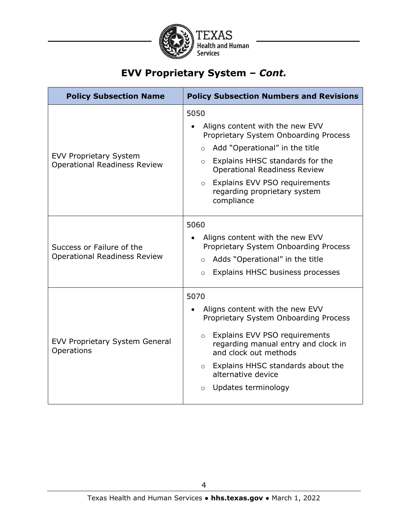

### **EVV Proprietary System –** *Cont.*

| <b>Policy Subsection Name</b>                                        | <b>Policy Subsection Numbers and Revisions</b>                                                                                                                                                                                                                                                      |
|----------------------------------------------------------------------|-----------------------------------------------------------------------------------------------------------------------------------------------------------------------------------------------------------------------------------------------------------------------------------------------------|
| <b>EVV Proprietary System</b><br><b>Operational Readiness Review</b> | 5050<br>Aligns content with the new EVV<br>Proprietary System Onboarding Process<br>Add "Operational" in the title<br>$\circ$<br>Explains HHSC standards for the<br>$\circ$<br><b>Operational Readiness Review</b><br>o Explains EVV PSO requirements<br>regarding proprietary system<br>compliance |
| Success or Failure of the<br><b>Operational Readiness Review</b>     | 5060<br>Aligns content with the new EVV<br>Proprietary System Onboarding Process<br>Adds "Operational" in the title<br>$\circ$<br>Explains HHSC business processes<br>$\circ$                                                                                                                       |
| <b>EVV Proprietary System General</b><br>Operations                  | 5070<br>Aligns content with the new EVV<br>Proprietary System Onboarding Process<br>Explains EVV PSO requirements<br>$\circ$<br>regarding manual entry and clock in<br>and clock out methods<br>o Explains HHSC standards about the<br>alternative device<br>Updates terminology<br>$\circ$         |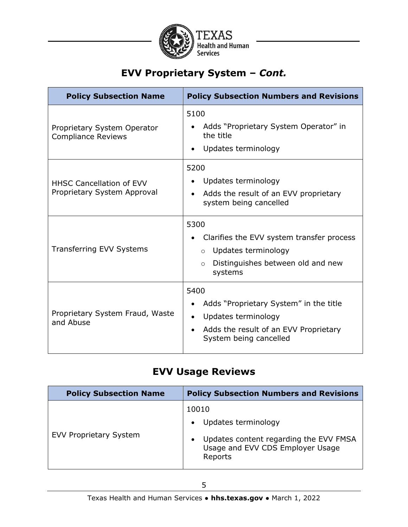

# **EVV Proprietary System –** *Cont.*

| <b>Policy Subsection Name</b>                                  | <b>Policy Subsection Numbers and Revisions</b>                                                                                                                     |
|----------------------------------------------------------------|--------------------------------------------------------------------------------------------------------------------------------------------------------------------|
| Proprietary System Operator<br><b>Compliance Reviews</b>       | 5100<br>Adds "Proprietary System Operator" in<br>the title<br>Updates terminology                                                                                  |
| <b>HHSC Cancellation of EVV</b><br>Proprietary System Approval | 5200<br>Updates terminology<br>Adds the result of an EVV proprietary<br>system being cancelled                                                                     |
| Transferring EVV Systems                                       | 5300<br>Clarifies the EVV system transfer process<br>Updates terminology<br>$\circ$<br>Distinguishes between old and new<br>$\circ$<br>systems                     |
| Proprietary System Fraud, Waste<br>and Abuse                   | 5400<br>Adds "Proprietary System" in the title<br>Updates terminology<br>$\bullet$<br>Adds the result of an EVV Proprietary<br>$\bullet$<br>System being cancelled |

#### **EVV Usage Reviews**

| <b>Policy Subsection Name</b> | <b>Policy Subsection Numbers and Revisions</b>                                                                                                  |
|-------------------------------|-------------------------------------------------------------------------------------------------------------------------------------------------|
| <b>EVV Proprietary System</b> | 10010<br>Updates terminology<br>$\bullet$<br>Updates content regarding the EVV FMSA<br>$\bullet$<br>Usage and EVV CDS Employer Usage<br>Reports |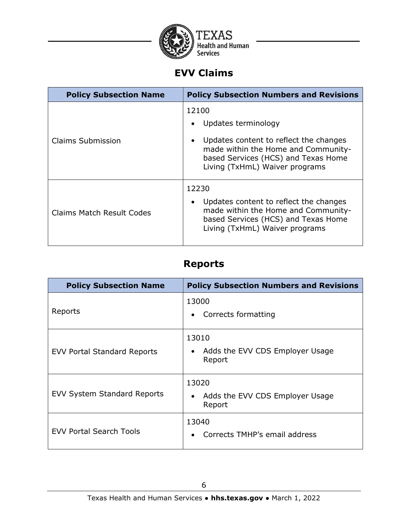

### **EVV Claims**

| <b>Policy Subsection Name</b> | <b>Policy Subsection Numbers and Revisions</b>                                                                                                                                                                   |
|-------------------------------|------------------------------------------------------------------------------------------------------------------------------------------------------------------------------------------------------------------|
| Claims Submission             | 12100<br>Updates terminology<br>$\bullet$<br>Updates content to reflect the changes<br>$\bullet$<br>made within the Home and Community-<br>based Services (HCS) and Texas Home<br>Living (TxHmL) Waiver programs |
| Claims Match Result Codes     | 12230<br>Updates content to reflect the changes<br>$\bullet$<br>made within the Home and Community-<br>based Services (HCS) and Texas Home<br>Living (TxHmL) Waiver programs                                     |

#### **Reports**

| <b>Policy Subsection Name</b>      | <b>Policy Subsection Numbers and Revisions</b>                  |
|------------------------------------|-----------------------------------------------------------------|
| Reports                            | 13000<br>Corrects formatting<br>٠                               |
| <b>EVV Portal Standard Reports</b> | 13010<br>Adds the EVV CDS Employer Usage<br>Report              |
| <b>EVV System Standard Reports</b> | 13020<br>Adds the EVV CDS Employer Usage<br>$\bullet$<br>Report |
| <b>EVV Portal Search Tools</b>     | 13040<br>Corrects TMHP's email address<br>$\bullet$             |